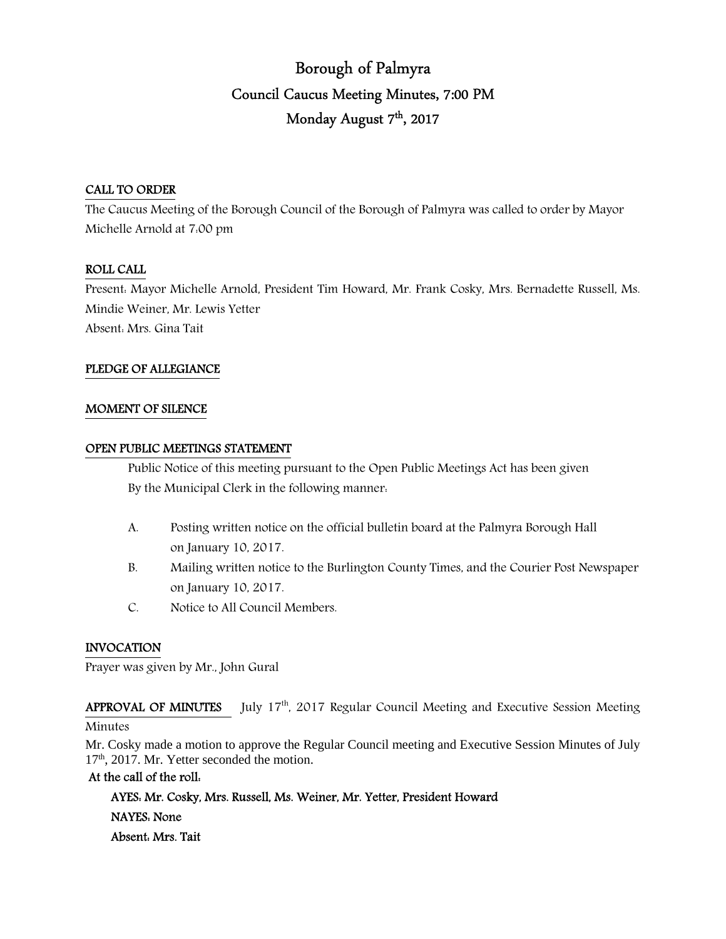# Borough of Palmyra Council Caucus Meeting Minutes, 7:00 PM Monday August 7<sup>th</sup>, 2017

#### CALL TO ORDER

The Caucus Meeting of the Borough Council of the Borough of Palmyra was called to order by Mayor Michelle Arnold at 7:00 pm

#### ROLL CALL

Present: Mayor Michelle Arnold, President Tim Howard, Mr. Frank Cosky, Mrs. Bernadette Russell, Ms. Mindie Weiner, Mr. Lewis Yetter Absent: Mrs. Gina Tait

#### PLEDGE OF ALLEGIANCE

#### MOMENT OF SILENCE

#### OPEN PUBLIC MEETINGS STATEMENT

 Public Notice of this meeting pursuant to the Open Public Meetings Act has been given By the Municipal Clerk in the following manner:

- A. Posting written notice on the official bulletin board at the Palmyra Borough Hall on January 10, 2017.
- B. Mailing written notice to the Burlington County Times, and the Courier Post Newspaper on January 10, 2017.
- C. Notice to All Council Members.

#### INVOCATION

Prayer was given by Mr., John Gural

APPROVAL OF MINUTES July  $17<sup>th</sup>$ , 2017 Regular Council Meeting and Executive Session Meeting Minutes

Mr. Cosky made a motion to approve the Regular Council meeting and Executive Session Minutes of July 17<sup>th</sup>, 2017. Mr. Yetter seconded the motion.

#### At the call of the roll:

 AYES: Mr. Cosky, Mrs. Russell, Ms. Weiner, Mr. Yetter, President Howard NAYES: None Absent: Mrs. Tait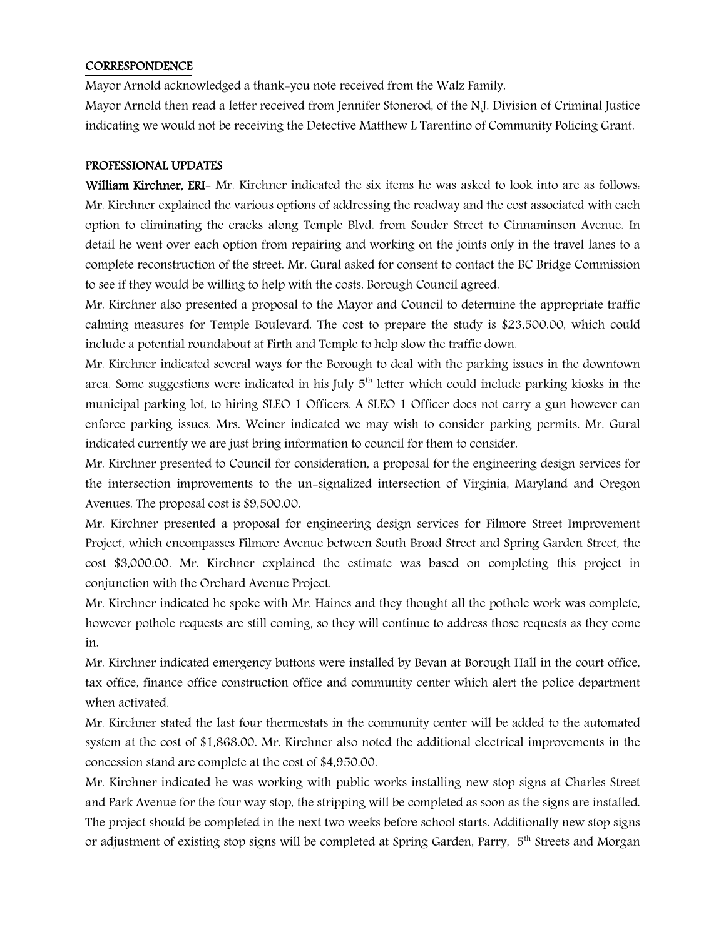#### **CORRESPONDENCE**

Mayor Arnold acknowledged a thank-you note received from the Walz Family.

Mayor Arnold then read a letter received from Jennifer Stonerod, of the N.J. Division of Criminal Justice indicating we would not be receiving the Detective Matthew L Tarentino of Community Policing Grant.

#### PROFESSIONAL UPDATES

William Kirchner, ERI- Mr. Kirchner indicated the six items he was asked to look into are as follows. Mr. Kirchner explained the various options of addressing the roadway and the cost associated with each option to eliminating the cracks along Temple Blvd. from Souder Street to Cinnaminson Avenue. In detail he went over each option from repairing and working on the joints only in the travel lanes to a complete reconstruction of the street. Mr. Gural asked for consent to contact the BC Bridge Commission to see if they would be willing to help with the costs. Borough Council agreed.

Mr. Kirchner also presented a proposal to the Mayor and Council to determine the appropriate traffic calming measures for Temple Boulevard. The cost to prepare the study is \$23,500.00, which could include a potential roundabout at Firth and Temple to help slow the traffic down.

Mr. Kirchner indicated several ways for the Borough to deal with the parking issues in the downtown area. Some suggestions were indicated in his July  $5<sup>th</sup>$  letter which could include parking kiosks in the municipal parking lot, to hiring SLEO 1 Officers. A SLEO 1 Officer does not carry a gun however can enforce parking issues. Mrs. Weiner indicated we may wish to consider parking permits. Mr. Gural indicated currently we are just bring information to council for them to consider.

Mr. Kirchner presented to Council for consideration, a proposal for the engineering design services for the intersection improvements to the un-signalized intersection of Virginia, Maryland and Oregon Avenues. The proposal cost is \$9,500.00.

Mr. Kirchner presented a proposal for engineering design services for Filmore Street Improvement Project, which encompasses Filmore Avenue between South Broad Street and Spring Garden Street, the cost \$3,000.00. Mr. Kirchner explained the estimate was based on completing this project in conjunction with the Orchard Avenue Project.

Mr. Kirchner indicated he spoke with Mr. Haines and they thought all the pothole work was complete, however pothole requests are still coming, so they will continue to address those requests as they come in.

Mr. Kirchner indicated emergency buttons were installed by Bevan at Borough Hall in the court office, tax office, finance office construction office and community center which alert the police department when activated.

Mr. Kirchner stated the last four thermostats in the community center will be added to the automated system at the cost of \$1,868.00. Mr. Kirchner also noted the additional electrical improvements in the concession stand are complete at the cost of \$4,950.00.

Mr. Kirchner indicated he was working with public works installing new stop signs at Charles Street and Park Avenue for the four way stop, the stripping will be completed as soon as the signs are installed. The project should be completed in the next two weeks before school starts. Additionally new stop signs or adjustment of existing stop signs will be completed at Spring Garden, Parry, 5<sup>th</sup> Streets and Morgan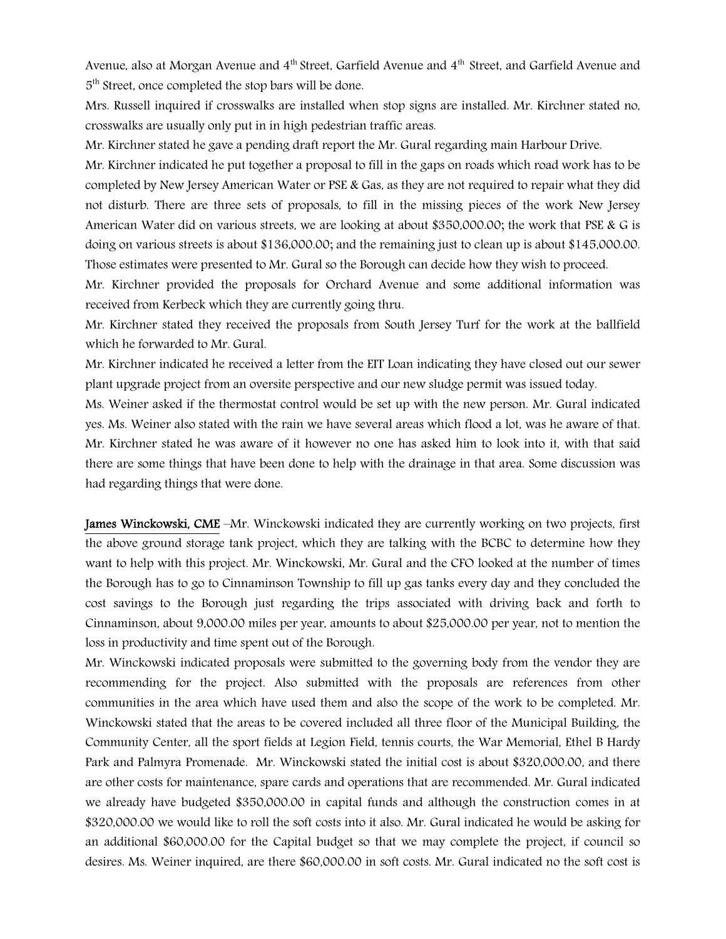Avenue, also at Morgan Avenue and 4<sup>th</sup> Street, Garfield Avenue and 4<sup>th</sup> Street, and Garfield Avenue and 5<sup>th</sup> Street, once completed the stop bars will be done.

Mrs. Russell inquired if crosswalks are installed when stop signs are installed. Mr. Kirchner stated no, crosswalks are usually only put in in high pedestrian traffic areas.

Mr. Kirchner stated he gave a pending draft report the Mr. Gural regarding main Harbour Drive.

Mr. Kirchner indicated he put together a proposal to fill in the gaps on roads which road work has to be completed by New Jersey American Water or PSE & Gas, as they are not required to repair what they did not disturb. There are three sets of proposals, to fill in the missing pieces of the work New Jersey American Water did on various streets, we are looking at about \$350,000.00; the work that PSE & G is doing on various streets is about \$136,000.00; and the remaining just to clean up is about \$145,000.00. Those estimates were presented to Mr. Gural so the Borough can decide how they wish to proceed.

Mr. Kirchner provided the proposals for Orchard Avenue and some additional information was received from Kerbeck which they are currently going thru.

Mr. Kirchner stated they received the proposals from South Jersey Turf for the work at the ballfield which he forwarded to Mr. Gural.

Mr. Kirchner indicated he received a letter from the EIT Loan indicating they have closed out our sewer plant upgrade project from an oversite perspective and our new sludge permit was issued today.

Ms. Weiner asked if the thermostat control would be set up with the new person. Mr. Gural indicated yes. Ms. Weiner also stated with the rain we have several areas which flood a lot, was he aware of that. Mr. Kirchner stated he was aware of it however no one has asked him to look into it, with that said there are some things that have been done to help with the drainage in that area. Some discussion was had regarding things that were done.

James Winckowski, CME –Mr. Winckowski indicated they are currently working on two projects, first the above ground storage tank project, which they are talking with the BCBC to determine how they want to help with this project. Mr. Winckowski, Mr. Gural and the CFO looked at the number of times the Borough has to go to Cinnaminson Township to fill up gas tanks every day and they concluded the cost savings to the Borough just regarding the trips associated with driving back and forth to Cinnaminson, about 9,000.00 miles per year, amounts to about \$25,000.00 per year, not to mention the loss in productivity and time spent out of the Borough.

Mr. Winckowski indicated proposals were submitted to the governing body from the vendor they are recommending for the project. Also submitted with the proposals are references from other communities in the area which have used them and also the scope of the work to be completed. Mr. Winckowski stated that the areas to be covered included all three floor of the Municipal Building, the Community Center, all the sport fields at Legion Field, tennis courts, the War Memorial, Ethel B Hardy Park and Palmyra Promenade. Mr. Winckowski stated the initial cost is about \$320,000.00, and there are other costs for maintenance, spare cards and operations that are recommended. Mr. Gural indicated we already have budgeted \$350,000.00 in capital funds and although the construction comes in at \$320,000.00 we would like to roll the soft costs into it also. Mr. Gural indicated he would be asking for an additional \$60,000.00 for the Capital budget so that we may complete the project, if council so desires. Ms. Weiner inquired, are there \$60,000.00 in soft costs. Mr. Gural indicated no the soft cost is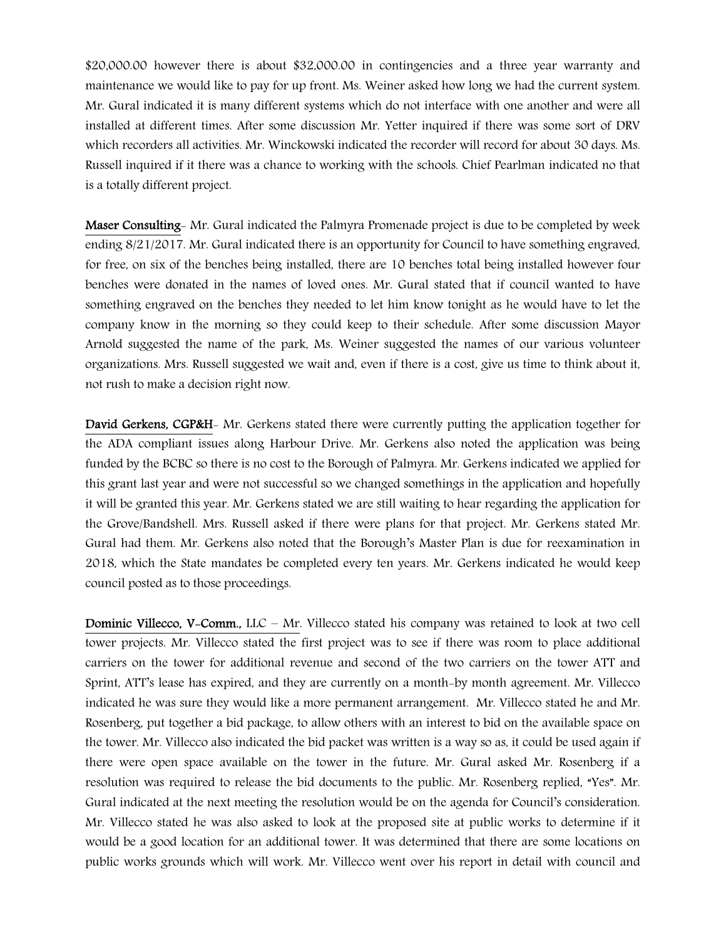\$20,000.00 however there is about \$32,000.00 in contingencies and a three year warranty and maintenance we would like to pay for up front. Ms. Weiner asked how long we had the current system. Mr. Gural indicated it is many different systems which do not interface with one another and were all installed at different times. After some discussion Mr. Yetter inquired if there was some sort of DRV which recorders all activities. Mr. Winckowski indicated the recorder will record for about 30 days. Ms. Russell inquired if it there was a chance to working with the schools. Chief Pearlman indicated no that is a totally different project.

Maser Consulting- Mr. Gural indicated the Palmyra Promenade project is due to be completed by week ending 8/21/2017. Mr. Gural indicated there is an opportunity for Council to have something engraved, for free, on six of the benches being installed, there are 10 benches total being installed however four benches were donated in the names of loved ones. Mr. Gural stated that if council wanted to have something engraved on the benches they needed to let him know tonight as he would have to let the company know in the morning so they could keep to their schedule. After some discussion Mayor Arnold suggested the name of the park, Ms. Weiner suggested the names of our various volunteer organizations. Mrs. Russell suggested we wait and, even if there is a cost, give us time to think about it, not rush to make a decision right now.

David Gerkens, CGP&H- Mr. Gerkens stated there were currently putting the application together for the ADA compliant issues along Harbour Drive. Mr. Gerkens also noted the application was being funded by the BCBC so there is no cost to the Borough of Palmyra. Mr. Gerkens indicated we applied for this grant last year and were not successful so we changed somethings in the application and hopefully it will be granted this year. Mr. Gerkens stated we are still waiting to hear regarding the application for the Grove/Bandshell. Mrs. Russell asked if there were plans for that project. Mr. Gerkens stated Mr. Gural had them. Mr. Gerkens also noted that the Borough's Master Plan is due for reexamination in 2018, which the State mandates be completed every ten years. Mr. Gerkens indicated he would keep council posted as to those proceedings.

Dominic Villecco, V-Comm., LLC – Mr. Villecco stated his company was retained to look at two cell tower projects. Mr. Villecco stated the first project was to see if there was room to place additional carriers on the tower for additional revenue and second of the two carriers on the tower ATT and Sprint, ATT's lease has expired, and they are currently on a month-by month agreement. Mr. Villecco indicated he was sure they would like a more permanent arrangement. Mr. Villecco stated he and Mr. Rosenberg, put together a bid package, to allow others with an interest to bid on the available space on the tower. Mr. Villecco also indicated the bid packet was written is a way so as, it could be used again if there were open space available on the tower in the future. Mr. Gural asked Mr. Rosenberg if a resolution was required to release the bid documents to the public. Mr. Rosenberg replied, "Yes". Mr. Gural indicated at the next meeting the resolution would be on the agenda for Council's consideration. Mr. Villecco stated he was also asked to look at the proposed site at public works to determine if it would be a good location for an additional tower. It was determined that there are some locations on public works grounds which will work. Mr. Villecco went over his report in detail with council and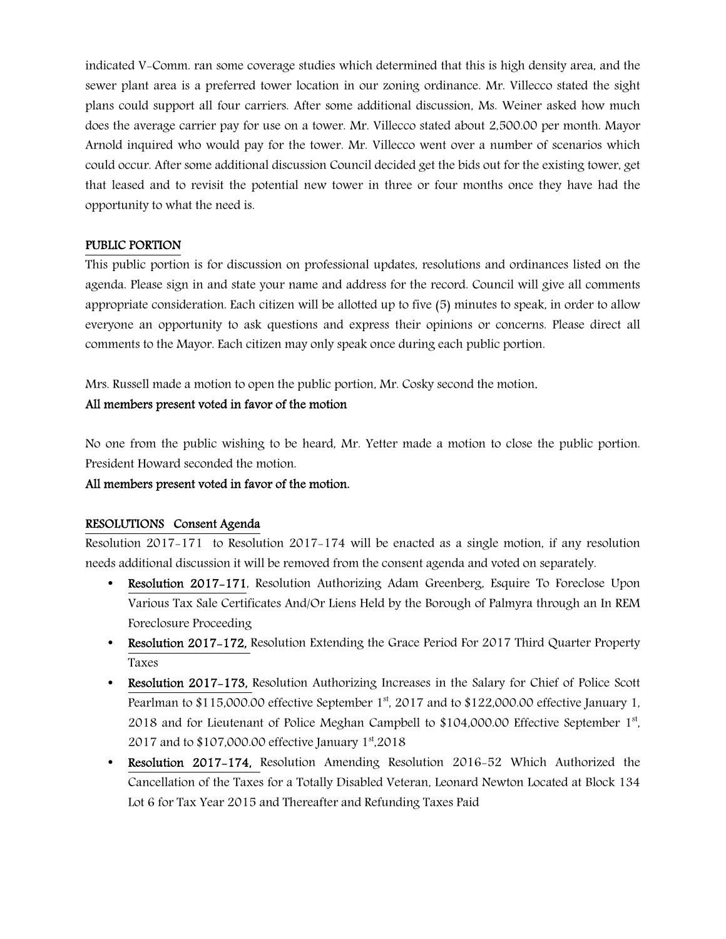indicated V-Comm. ran some coverage studies which determined that this is high density area, and the sewer plant area is a preferred tower location in our zoning ordinance. Mr. Villecco stated the sight plans could support all four carriers. After some additional discussion, Ms. Weiner asked how much does the average carrier pay for use on a tower. Mr. Villecco stated about 2,500.00 per month. Mayor Arnold inquired who would pay for the tower. Mr. Villecco went over a number of scenarios which could occur. After some additional discussion Council decided get the bids out for the existing tower, get that leased and to revisit the potential new tower in three or four months once they have had the opportunity to what the need is.

### PUBLIC PORTION

This public portion is for discussion on professional updates, resolutions and ordinances listed on the agenda. Please sign in and state your name and address for the record. Council will give all comments appropriate consideration. Each citizen will be allotted up to five (5) minutes to speak, in order to allow everyone an opportunity to ask questions and express their opinions or concerns. Please direct all comments to the Mayor. Each citizen may only speak once during each public portion.

Mrs. Russell made a motion to open the public portion, Mr. Cosky second the motion.

#### All members present voted in favor of the motion

No one from the public wishing to be heard, Mr. Yetter made a motion to close the public portion. President Howard seconded the motion.

#### All members present voted in favor of the motion.

#### RESOLUTIONS Consent Agenda

Resolution 2017-171 to Resolution 2017-174 will be enacted as a single motion, if any resolution needs additional discussion it will be removed from the consent agenda and voted on separately.

- Resolution 2017–171, Resolution Authorizing Adam Greenberg, Esquire To Foreclose Upon Various Tax Sale Certificates And/Or Liens Held by the Borough of Palmyra through an In REM Foreclosure Proceeding
- Resolution 2017–172, Resolution Extending the Grace Period For 2017 Third Quarter Property Taxes
- Resolution 2017–173, Resolution Authorizing Increases in the Salary for Chief of Police Scott Pearlman to  $$115,000.00$  effective September  $1<sup>st</sup>$ , 2017 and to  $$122,000.00$  effective January 1, 2018 and for Lieutenant of Police Meghan Campbell to \$104,000.00 Effective September 1st, 2017 and to  $$107,000.00$  effective January  $1<sup>st</sup>$ ,2018
- Resolution 2017-174, Resolution Amending Resolution 2016-52 Which Authorized the Cancellation of the Taxes for a Totally Disabled Veteran, Leonard Newton Located at Block 134 Lot 6 for Tax Year 2015 and Thereafter and Refunding Taxes Paid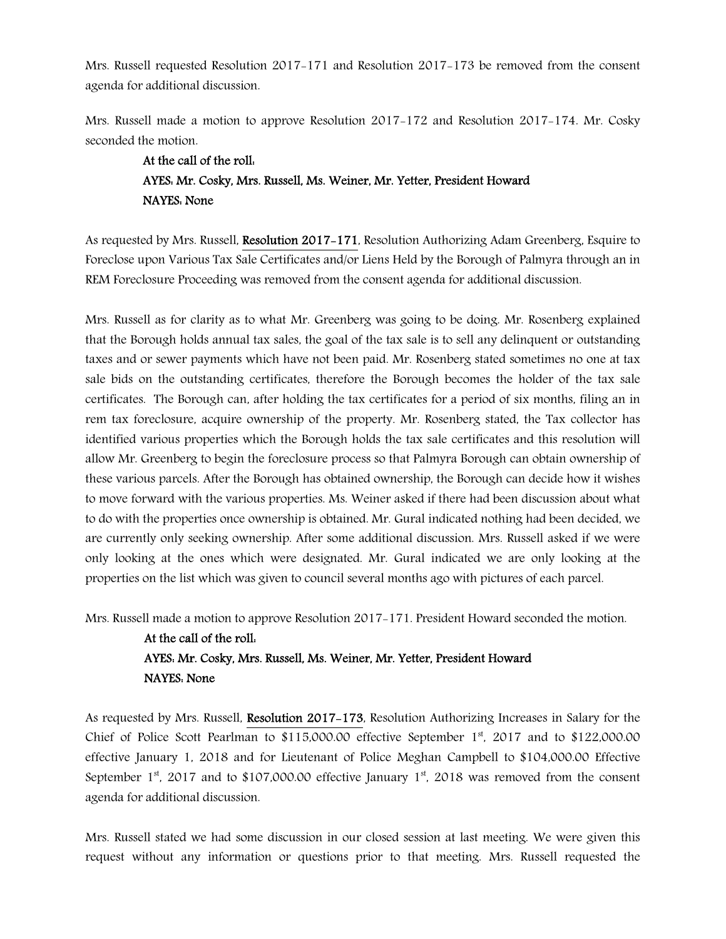Mrs. Russell requested Resolution 2017-171 and Resolution 2017-173 be removed from the consent agenda for additional discussion.

Mrs. Russell made a motion to approve Resolution 2017-172 and Resolution 2017-174. Mr. Cosky seconded the motion.

## At the call of the roll: AYES: Mr. Cosky, Mrs. Russell, Ms. Weiner, Mr. Yetter, President Howard NAYES: None

As requested by Mrs. Russell, Resolution 2017-171, Resolution Authorizing Adam Greenberg, Esquire to Foreclose upon Various Tax Sale Certificates and/or Liens Held by the Borough of Palmyra through an in REM Foreclosure Proceeding was removed from the consent agenda for additional discussion.

Mrs. Russell as for clarity as to what Mr. Greenberg was going to be doing. Mr. Rosenberg explained that the Borough holds annual tax sales, the goal of the tax sale is to sell any delinquent or outstanding taxes and or sewer payments which have not been paid. Mr. Rosenberg stated sometimes no one at tax sale bids on the outstanding certificates, therefore the Borough becomes the holder of the tax sale certificates. The Borough can, after holding the tax certificates for a period of six months, filing an in rem tax foreclosure, acquire ownership of the property. Mr. Rosenberg stated, the Tax collector has identified various properties which the Borough holds the tax sale certificates and this resolution will allow Mr. Greenberg to begin the foreclosure process so that Palmyra Borough can obtain ownership of these various parcels. After the Borough has obtained ownership, the Borough can decide how it wishes to move forward with the various properties. Ms. Weiner asked if there had been discussion about what to do with the properties once ownership is obtained. Mr. Gural indicated nothing had been decided, we are currently only seeking ownership. After some additional discussion. Mrs. Russell asked if we were only looking at the ones which were designated. Mr. Gural indicated we are only looking at the properties on the list which was given to council several months ago with pictures of each parcel.

Mrs. Russell made a motion to approve Resolution 2017-171. President Howard seconded the motion.

## At the call of the roll: AYES: Mr. Cosky, Mrs. Russell, Ms. Weiner, Mr. Yetter, President Howard NAYES: None

As requested by Mrs. Russell, Resolution 2017-173, Resolution Authorizing Increases in Salary for the Chief of Police Scott Pearlman to \$115,000.00 effective September 1st, 2017 and to \$122,000.00 effective January 1, 2018 and for Lieutenant of Police Meghan Campbell to \$104,000.00 Effective September  $1^{st}$ , 2017 and to \$107,000.00 effective January  $1^{st}$ , 2018 was removed from the consent agenda for additional discussion.

Mrs. Russell stated we had some discussion in our closed session at last meeting. We were given this request without any information or questions prior to that meeting. Mrs. Russell requested the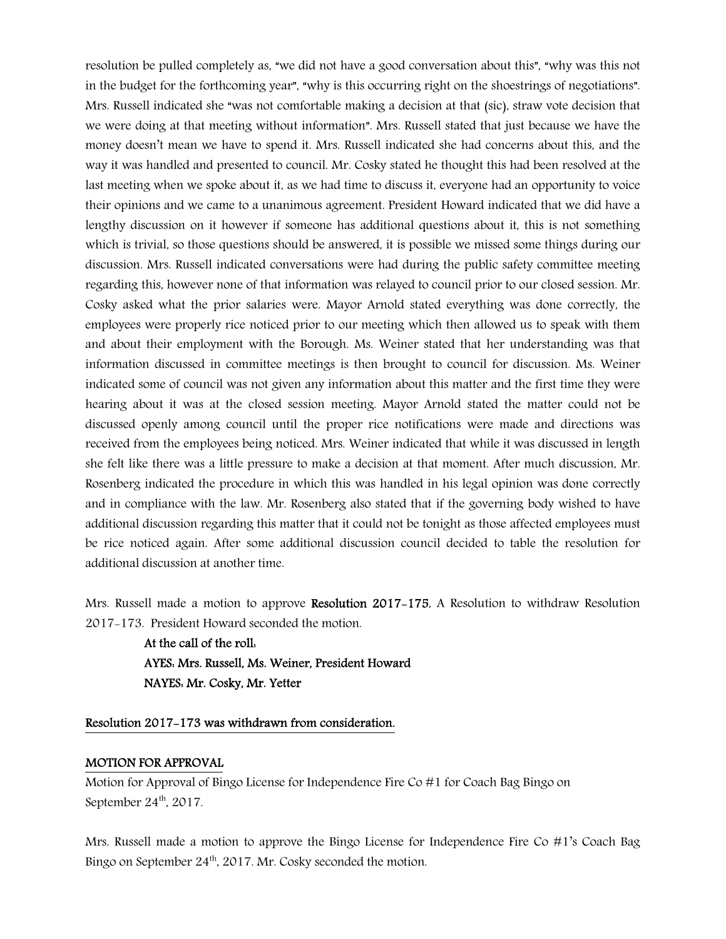resolution be pulled completely as, "we did not have a good conversation about this", "why was this not in the budget for the forthcoming year", "why is this occurring right on the shoestrings of negotiations". Mrs. Russell indicated she "was not comfortable making a decision at that (sic), straw vote decision that we were doing at that meeting without information". Mrs. Russell stated that just because we have the money doesn't mean we have to spend it. Mrs. Russell indicated she had concerns about this, and the way it was handled and presented to council. Mr. Cosky stated he thought this had been resolved at the last meeting when we spoke about it, as we had time to discuss it, everyone had an opportunity to voice their opinions and we came to a unanimous agreement. President Howard indicated that we did have a lengthy discussion on it however if someone has additional questions about it, this is not something which is trivial, so those questions should be answered, it is possible we missed some things during our discussion. Mrs. Russell indicated conversations were had during the public safety committee meeting regarding this, however none of that information was relayed to council prior to our closed session. Mr. Cosky asked what the prior salaries were. Mayor Arnold stated everything was done correctly, the employees were properly rice noticed prior to our meeting which then allowed us to speak with them and about their employment with the Borough. Ms. Weiner stated that her understanding was that information discussed in committee meetings is then brought to council for discussion. Ms. Weiner indicated some of council was not given any information about this matter and the first time they were hearing about it was at the closed session meeting. Mayor Arnold stated the matter could not be discussed openly among council until the proper rice notifications were made and directions was received from the employees being noticed. Mrs. Weiner indicated that while it was discussed in length she felt like there was a little pressure to make a decision at that moment. After much discussion, Mr. Rosenberg indicated the procedure in which this was handled in his legal opinion was done correctly and in compliance with the law. Mr. Rosenberg also stated that if the governing body wished to have additional discussion regarding this matter that it could not be tonight as those affected employees must be rice noticed again. After some additional discussion council decided to table the resolution for additional discussion at another time.

Mrs. Russell made a motion to approve Resolution 2017–175, A Resolution to withdraw Resolution 2017-173. President Howard seconded the motion.

> At the call of the roll: AYES: Mrs. Russell, Ms. Weiner, President Howard NAYES: Mr. Cosky, Mr. Yetter

#### Resolution 2017-173 was withdrawn from consideration.

#### MOTION FOR APPROVAL

Motion for Approval of Bingo License for Independence Fire Co #1 for Coach Bag Bingo on September 24<sup>th</sup>, 2017.

Mrs. Russell made a motion to approve the Bingo License for Independence Fire Co #1's Coach Bag Bingo on September 24<sup>th</sup>, 2017. Mr. Cosky seconded the motion.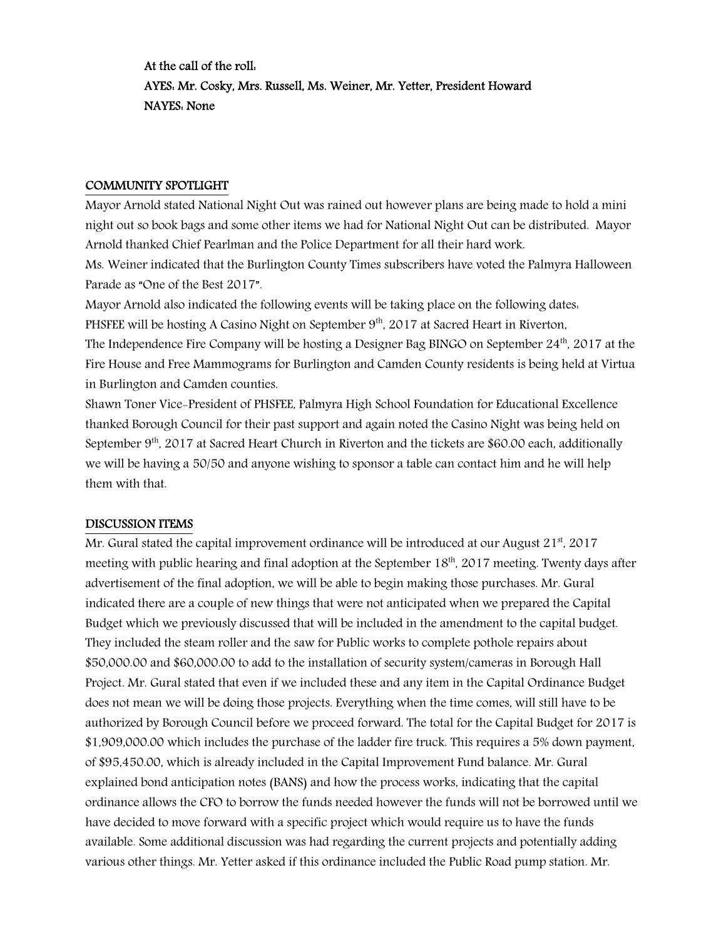At the call of the roll: AYES: Mr. Cosky, Mrs. Russell, Ms. Weiner, Mr. Yetter, President Howard NAYES: None

#### COMMUNITY SPOTLIGHT

Mayor Arnold stated National Night Out was rained out however plans are being made to hold a mini night out so book bags and some other items we had for National Night Out can be distributed. Mayor Arnold thanked Chief Pearlman and the Police Department for all their hard work.

Ms. Weiner indicated that the Burlington County Times subscribers have voted the Palmyra Halloween Parade as "One of the Best 2017".

Mayor Arnold also indicated the following events will be taking place on the following dates: PHSFEE will be hosting A Casino Night on September 9<sup>th</sup>, 2017 at Sacred Heart in Riverton,

The Independence Fire Company will be hosting a Designer Bag BINGO on September  $24^{\text{th}}$ , 2017 at the Fire House and Free Mammograms for Burlington and Camden County residents is being held at Virtua in Burlington and Camden counties.

Shawn Toner Vice-President of PHSFEE, Palmyra High School Foundation for Educational Excellence thanked Borough Council for their past support and again noted the Casino Night was being held on September 9<sup>th</sup>, 2017 at Sacred Heart Church in Riverton and the tickets are \$60.00 each, additionally we will be having a 50/50 and anyone wishing to sponsor a table can contact him and he will help them with that.

#### DISCUSSION ITEMS

Mr. Gural stated the capital improvement ordinance will be introduced at our August  $21<sup>st</sup>$ , 2017 meeting with public hearing and final adoption at the September 18<sup>th</sup>, 2017 meeting. Twenty days after advertisement of the final adoption, we will be able to begin making those purchases. Mr. Gural indicated there are a couple of new things that were not anticipated when we prepared the Capital Budget which we previously discussed that will be included in the amendment to the capital budget. They included the steam roller and the saw for Public works to complete pothole repairs about \$50,000.00 and \$60,000.00 to add to the installation of security system/cameras in Borough Hall Project. Mr. Gural stated that even if we included these and any item in the Capital Ordinance Budget does not mean we will be doing those projects. Everything when the time comes, will still have to be authorized by Borough Council before we proceed forward. The total for the Capital Budget for 2017 is \$1,909,000.00 which includes the purchase of the ladder fire truck. This requires a 5% down payment, of \$95,450.00, which is already included in the Capital Improvement Fund balance. Mr. Gural explained bond anticipation notes (BANS) and how the process works, indicating that the capital ordinance allows the CFO to borrow the funds needed however the funds will not be borrowed until we have decided to move forward with a specific project which would require us to have the funds available. Some additional discussion was had regarding the current projects and potentially adding various other things. Mr. Yetter asked if this ordinance included the Public Road pump station. Mr.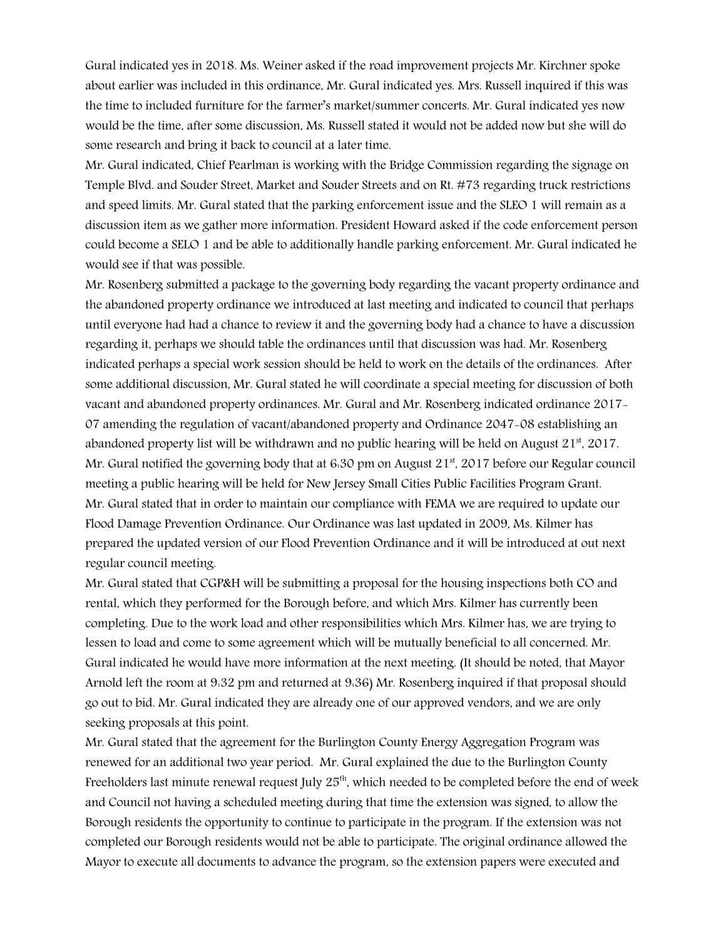Gural indicated yes in 2018. Ms. Weiner asked if the road improvement projects Mr. Kirchner spoke about earlier was included in this ordinance, Mr. Gural indicated yes. Mrs. Russell inquired if this was the time to included furniture for the farmer's market/summer concerts. Mr. Gural indicated yes now would be the time, after some discussion, Ms. Russell stated it would not be added now but she will do some research and bring it back to council at a later time.

Mr. Gural indicated, Chief Pearlman is working with the Bridge Commission regarding the signage on Temple Blvd. and Souder Street, Market and Souder Streets and on Rt. #73 regarding truck restrictions and speed limits. Mr. Gural stated that the parking enforcement issue and the SLEO 1 will remain as a discussion item as we gather more information. President Howard asked if the code enforcement person could become a SELO 1 and be able to additionally handle parking enforcement. Mr. Gural indicated he would see if that was possible.

Mr. Rosenberg submitted a package to the governing body regarding the vacant property ordinance and the abandoned property ordinance we introduced at last meeting and indicated to council that perhaps until everyone had had a chance to review it and the governing body had a chance to have a discussion regarding it, perhaps we should table the ordinances until that discussion was had. Mr. Rosenberg indicated perhaps a special work session should be held to work on the details of the ordinances. After some additional discussion, Mr. Gural stated he will coordinate a special meeting for discussion of both vacant and abandoned property ordinances. Mr. Gural and Mr. Rosenberg indicated ordinance 2017- 07 amending the regulation of vacant/abandoned property and Ordinance 2047-08 establishing an abandoned property list will be withdrawn and no public hearing will be held on August  $21^{st}$ , 2017. Mr. Gural notified the governing body that at 6.30 pm on August  $21<sup>st</sup>$ , 2017 before our Regular council meeting a public hearing will be held for New Jersey Small Cities Public Facilities Program Grant. Mr. Gural stated that in order to maintain our compliance with FEMA we are required to update our Flood Damage Prevention Ordinance. Our Ordinance was last updated in 2009, Ms. Kilmer has prepared the updated version of our Flood Prevention Ordinance and it will be introduced at out next regular council meeting.

Mr. Gural stated that CGP&H will be submitting a proposal for the housing inspections both CO and rental, which they performed for the Borough before, and which Mrs. Kilmer has currently been completing. Due to the work load and other responsibilities which Mrs. Kilmer has, we are trying to lessen to load and come to some agreement which will be mutually beneficial to all concerned. Mr. Gural indicated he would have more information at the next meeting. (It should be noted, that Mayor Arnold left the room at 9:32 pm and returned at 9:36) Mr. Rosenberg inquired if that proposal should go out to bid. Mr. Gural indicated they are already one of our approved vendors, and we are only seeking proposals at this point.

Mr. Gural stated that the agreement for the Burlington County Energy Aggregation Program was renewed for an additional two year period. Mr. Gural explained the due to the Burlington County Freeholders last minute renewal request July  $25<sup>th</sup>$ , which needed to be completed before the end of week and Council not having a scheduled meeting during that time the extension was signed, to allow the Borough residents the opportunity to continue to participate in the program. If the extension was not completed our Borough residents would not be able to participate. The original ordinance allowed the Mayor to execute all documents to advance the program, so the extension papers were executed and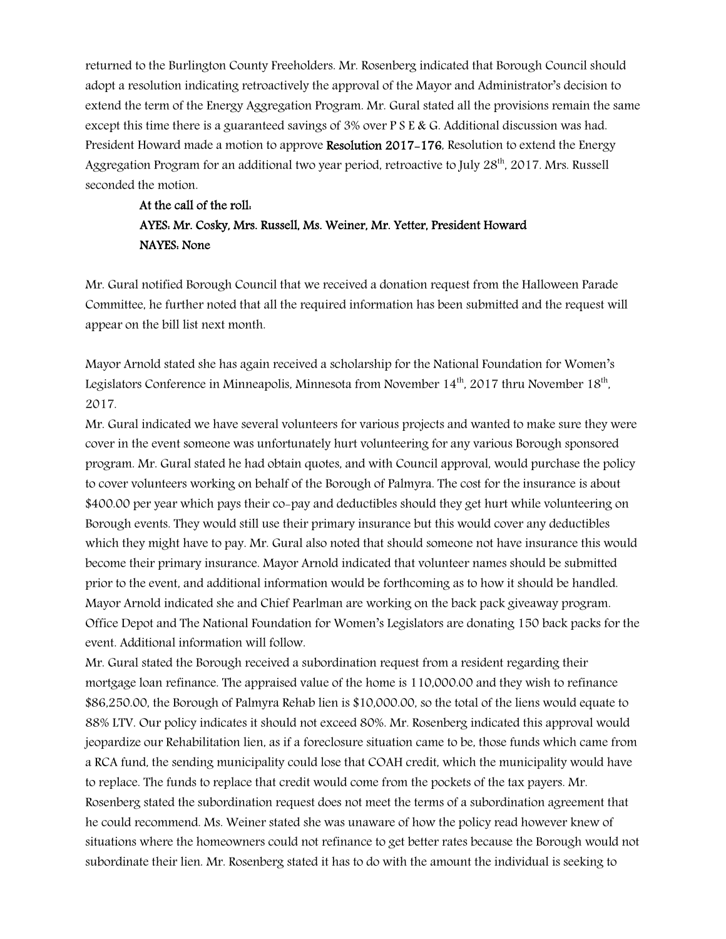returned to the Burlington County Freeholders. Mr. Rosenberg indicated that Borough Council should adopt a resolution indicating retroactively the approval of the Mayor and Administrator's decision to extend the term of the Energy Aggregation Program. Mr. Gural stated all the provisions remain the same except this time there is a guaranteed savings of 3% over P S E & G. Additional discussion was had. President Howard made a motion to approve Resolution 2017–176, Resolution to extend the Energy Aggregation Program for an additional two year period, retroactive to July 28th, 2017. Mrs. Russell seconded the motion.

## At the call of the roll: AYES: Mr. Cosky, Mrs. Russell, Ms. Weiner, Mr. Yetter, President Howard NAYES: None

Mr. Gural notified Borough Council that we received a donation request from the Halloween Parade Committee, he further noted that all the required information has been submitted and the request will appear on the bill list next month.

Mayor Arnold stated she has again received a scholarship for the National Foundation for Women's Legislators Conference in Minneapolis, Minnesota from November  $14^{\text{th}}$ , 2017 thru November  $18^{\text{th}}$ , 2017.

Mr. Gural indicated we have several volunteers for various projects and wanted to make sure they were cover in the event someone was unfortunately hurt volunteering for any various Borough sponsored program. Mr. Gural stated he had obtain quotes, and with Council approval, would purchase the policy to cover volunteers working on behalf of the Borough of Palmyra. The cost for the insurance is about \$400.00 per year which pays their co-pay and deductibles should they get hurt while volunteering on Borough events. They would still use their primary insurance but this would cover any deductibles which they might have to pay. Mr. Gural also noted that should someone not have insurance this would become their primary insurance. Mayor Arnold indicated that volunteer names should be submitted prior to the event, and additional information would be forthcoming as to how it should be handled. Mayor Arnold indicated she and Chief Pearlman are working on the back pack giveaway program. Office Depot and The National Foundation for Women's Legislators are donating 150 back packs for the event. Additional information will follow.

Mr. Gural stated the Borough received a subordination request from a resident regarding their mortgage loan refinance. The appraised value of the home is 110,000.00 and they wish to refinance \$86,250.00, the Borough of Palmyra Rehab lien is \$10,000.00, so the total of the liens would equate to 88% LTV. Our policy indicates it should not exceed 80%. Mr. Rosenberg indicated this approval would jeopardize our Rehabilitation lien, as if a foreclosure situation came to be, those funds which came from a RCA fund, the sending municipality could lose that COAH credit, which the municipality would have to replace. The funds to replace that credit would come from the pockets of the tax payers. Mr. Rosenberg stated the subordination request does not meet the terms of a subordination agreement that he could recommend. Ms. Weiner stated she was unaware of how the policy read however knew of situations where the homeowners could not refinance to get better rates because the Borough would not subordinate their lien. Mr. Rosenberg stated it has to do with the amount the individual is seeking to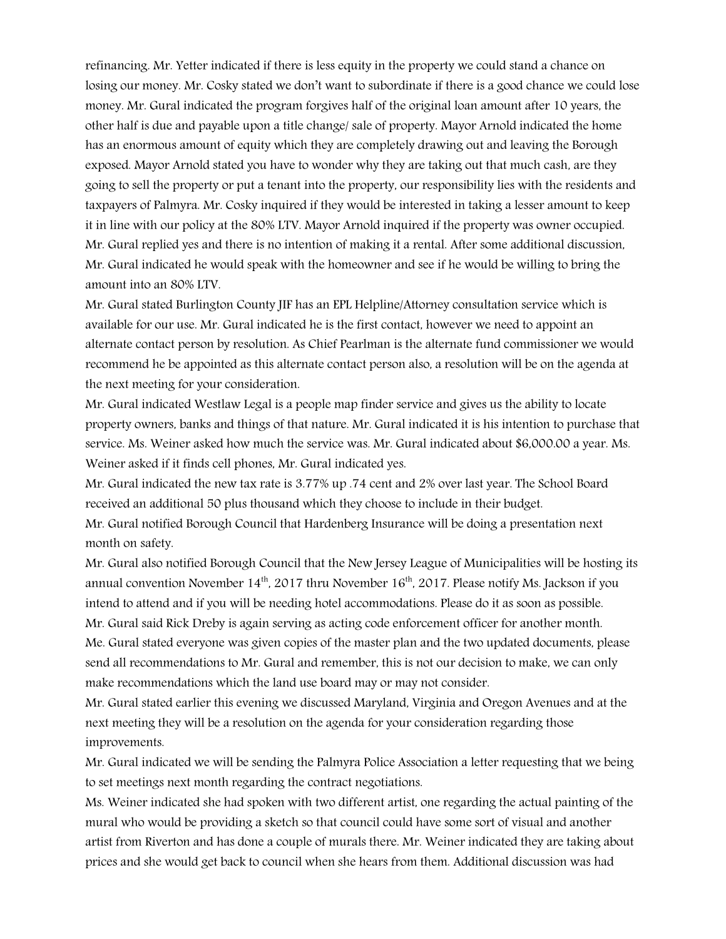refinancing. Mr. Yetter indicated if there is less equity in the property we could stand a chance on losing our money. Mr. Cosky stated we don't want to subordinate if there is a good chance we could lose money. Mr. Gural indicated the program forgives half of the original loan amount after 10 years, the other half is due and payable upon a title change/ sale of property. Mayor Arnold indicated the home has an enormous amount of equity which they are completely drawing out and leaving the Borough exposed. Mayor Arnold stated you have to wonder why they are taking out that much cash, are they going to sell the property or put a tenant into the property, our responsibility lies with the residents and taxpayers of Palmyra. Mr. Cosky inquired if they would be interested in taking a lesser amount to keep it in line with our policy at the 80% LTV. Mayor Arnold inquired if the property was owner occupied. Mr. Gural replied yes and there is no intention of making it a rental. After some additional discussion, Mr. Gural indicated he would speak with the homeowner and see if he would be willing to bring the amount into an 80% LTV.

Mr. Gural stated Burlington County JIF has an EPL Helpline/Attorney consultation service which is available for our use. Mr. Gural indicated he is the first contact, however we need to appoint an alternate contact person by resolution. As Chief Pearlman is the alternate fund commissioner we would recommend he be appointed as this alternate contact person also, a resolution will be on the agenda at the next meeting for your consideration.

Mr. Gural indicated Westlaw Legal is a people map finder service and gives us the ability to locate property owners, banks and things of that nature. Mr. Gural indicated it is his intention to purchase that service. Ms. Weiner asked how much the service was. Mr. Gural indicated about \$6,000.00 a year. Ms. Weiner asked if it finds cell phones, Mr. Gural indicated yes.

Mr. Gural indicated the new tax rate is 3.77% up .74 cent and 2% over last year. The School Board received an additional 50 plus thousand which they choose to include in their budget. Mr. Gural notified Borough Council that Hardenberg Insurance will be doing a presentation next month on safety.

Mr. Gural also notified Borough Council that the New Jersey League of Municipalities will be hosting its annual convention November  $14<sup>th</sup>$ , 2017 thru November  $16<sup>th</sup>$ , 2017. Please notify Ms. Jackson if you intend to attend and if you will be needing hotel accommodations. Please do it as soon as possible. Mr. Gural said Rick Dreby is again serving as acting code enforcement officer for another month. Me. Gural stated everyone was given copies of the master plan and the two updated documents, please send all recommendations to Mr. Gural and remember, this is not our decision to make, we can only make recommendations which the land use board may or may not consider.

Mr. Gural stated earlier this evening we discussed Maryland, Virginia and Oregon Avenues and at the next meeting they will be a resolution on the agenda for your consideration regarding those improvements.

Mr. Gural indicated we will be sending the Palmyra Police Association a letter requesting that we being to set meetings next month regarding the contract negotiations.

Ms. Weiner indicated she had spoken with two different artist, one regarding the actual painting of the mural who would be providing a sketch so that council could have some sort of visual and another artist from Riverton and has done a couple of murals there. Mr. Weiner indicated they are taking about prices and she would get back to council when she hears from them. Additional discussion was had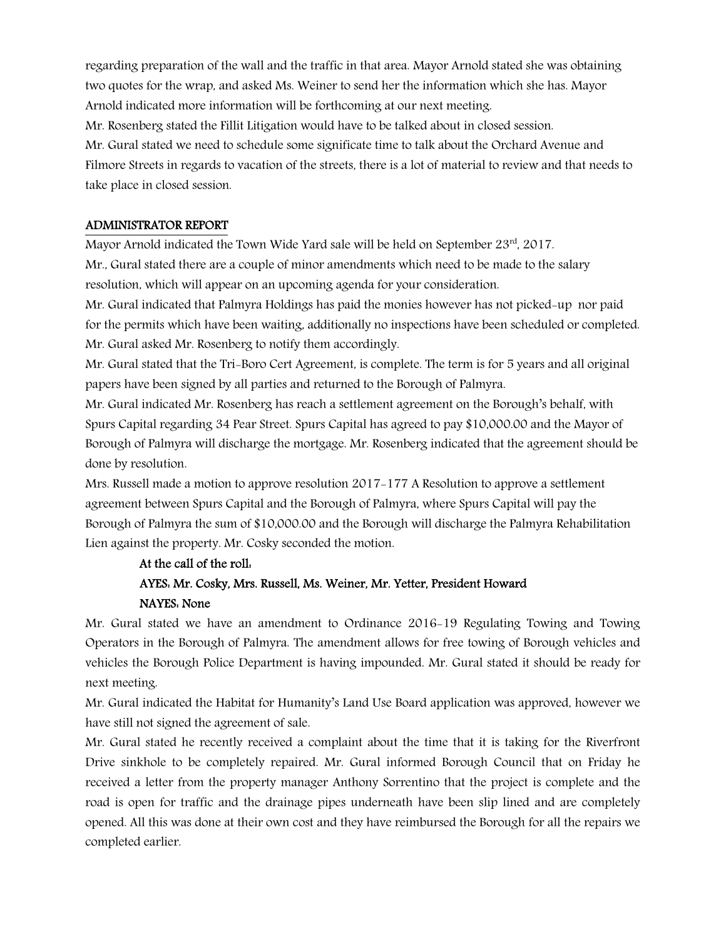regarding preparation of the wall and the traffic in that area. Mayor Arnold stated she was obtaining two quotes for the wrap, and asked Ms. Weiner to send her the information which she has. Mayor Arnold indicated more information will be forthcoming at our next meeting.

Mr. Rosenberg stated the Fillit Litigation would have to be talked about in closed session.

Mr. Gural stated we need to schedule some significate time to talk about the Orchard Avenue and Filmore Streets in regards to vacation of the streets, there is a lot of material to review and that needs to take place in closed session.

#### ADMINISTRATOR REPORT

Mayor Arnold indicated the Town Wide Yard sale will be held on September  $23<sup>rd</sup>$ , 2017. Mr., Gural stated there are a couple of minor amendments which need to be made to the salary resolution, which will appear on an upcoming agenda for your consideration.

Mr. Gural indicated that Palmyra Holdings has paid the monies however has not picked-up nor paid for the permits which have been waiting, additionally no inspections have been scheduled or completed. Mr. Gural asked Mr. Rosenberg to notify them accordingly.

Mr. Gural stated that the Tri-Boro Cert Agreement, is complete. The term is for 5 years and all original papers have been signed by all parties and returned to the Borough of Palmyra.

Mr. Gural indicated Mr. Rosenberg has reach a settlement agreement on the Borough's behalf, with Spurs Capital regarding 34 Pear Street. Spurs Capital has agreed to pay \$10,000.00 and the Mayor of Borough of Palmyra will discharge the mortgage. Mr. Rosenberg indicated that the agreement should be done by resolution.

Mrs. Russell made a motion to approve resolution 2017-177 A Resolution to approve a settlement agreement between Spurs Capital and the Borough of Palmyra, where Spurs Capital will pay the Borough of Palmyra the sum of \$10,000.00 and the Borough will discharge the Palmyra Rehabilitation Lien against the property. Mr. Cosky seconded the motion.

#### At the call of the roll:

## AYES: Mr. Cosky, Mrs. Russell, Ms. Weiner, Mr. Yetter, President Howard NAYES: None

Mr. Gural stated we have an amendment to Ordinance 2016-19 Regulating Towing and Towing Operators in the Borough of Palmyra. The amendment allows for free towing of Borough vehicles and vehicles the Borough Police Department is having impounded. Mr. Gural stated it should be ready for next meeting.

Mr. Gural indicated the Habitat for Humanity's Land Use Board application was approved, however we have still not signed the agreement of sale.

Mr. Gural stated he recently received a complaint about the time that it is taking for the Riverfront Drive sinkhole to be completely repaired. Mr. Gural informed Borough Council that on Friday he received a letter from the property manager Anthony Sorrentino that the project is complete and the road is open for traffic and the drainage pipes underneath have been slip lined and are completely opened. All this was done at their own cost and they have reimbursed the Borough for all the repairs we completed earlier.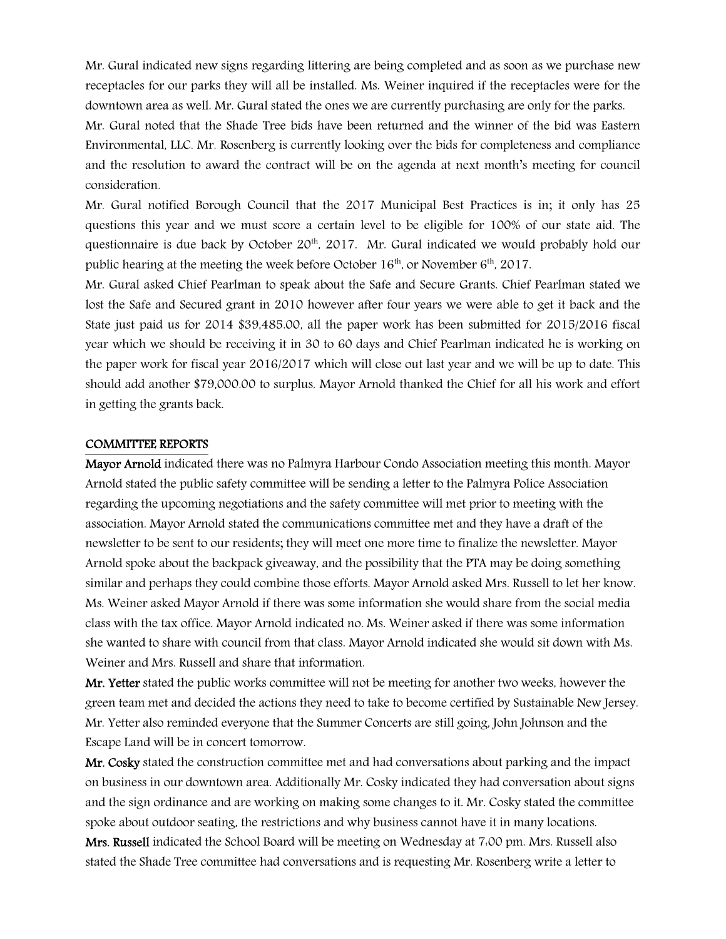Mr. Gural indicated new signs regarding littering are being completed and as soon as we purchase new receptacles for our parks they will all be installed. Ms. Weiner inquired if the receptacles were for the downtown area as well. Mr. Gural stated the ones we are currently purchasing are only for the parks.

Mr. Gural noted that the Shade Tree bids have been returned and the winner of the bid was Eastern Environmental, LLC. Mr. Rosenberg is currently looking over the bids for completeness and compliance and the resolution to award the contract will be on the agenda at next month's meeting for council consideration.

Mr. Gural notified Borough Council that the 2017 Municipal Best Practices is in; it only has 25 questions this year and we must score a certain level to be eligible for 100% of our state aid. The questionnaire is due back by October  $20<sup>th</sup>$ , 2017. Mr. Gural indicated we would probably hold our public hearing at the meeting the week before October  $16<sup>th</sup>$ , or November  $6<sup>th</sup>$ , 2017.

Mr. Gural asked Chief Pearlman to speak about the Safe and Secure Grants. Chief Pearlman stated we lost the Safe and Secured grant in 2010 however after four years we were able to get it back and the State just paid us for 2014 \$39,485.00, all the paper work has been submitted for 2015/2016 fiscal year which we should be receiving it in 30 to 60 days and Chief Pearlman indicated he is working on the paper work for fiscal year 2016/2017 which will close out last year and we will be up to date. This should add another \$79,000.00 to surplus. Mayor Arnold thanked the Chief for all his work and effort in getting the grants back.

#### COMMITTEE REPORTS

Mayor Arnold indicated there was no Palmyra Harbour Condo Association meeting this month. Mayor Arnold stated the public safety committee will be sending a letter to the Palmyra Police Association regarding the upcoming negotiations and the safety committee will met prior to meeting with the association. Mayor Arnold stated the communications committee met and they have a draft of the newsletter to be sent to our residents; they will meet one more time to finalize the newsletter. Mayor Arnold spoke about the backpack giveaway, and the possibility that the PTA may be doing something similar and perhaps they could combine those efforts. Mayor Arnold asked Mrs. Russell to let her know. Ms. Weiner asked Mayor Arnold if there was some information she would share from the social media class with the tax office. Mayor Arnold indicated no. Ms. Weiner asked if there was some information she wanted to share with council from that class. Mayor Arnold indicated she would sit down with Ms. Weiner and Mrs. Russell and share that information.

Mr. Yetter stated the public works committee will not be meeting for another two weeks, however the green team met and decided the actions they need to take to become certified by Sustainable New Jersey. Mr. Yetter also reminded everyone that the Summer Concerts are still going, John Johnson and the Escape Land will be in concert tomorrow.

Mr. Cosky stated the construction committee met and had conversations about parking and the impact on business in our downtown area. Additionally Mr. Cosky indicated they had conversation about signs and the sign ordinance and are working on making some changes to it. Mr. Cosky stated the committee spoke about outdoor seating, the restrictions and why business cannot have it in many locations. Mrs. Russell indicated the School Board will be meeting on Wednesday at 7:00 pm. Mrs. Russell also stated the Shade Tree committee had conversations and is requesting Mr. Rosenberg write a letter to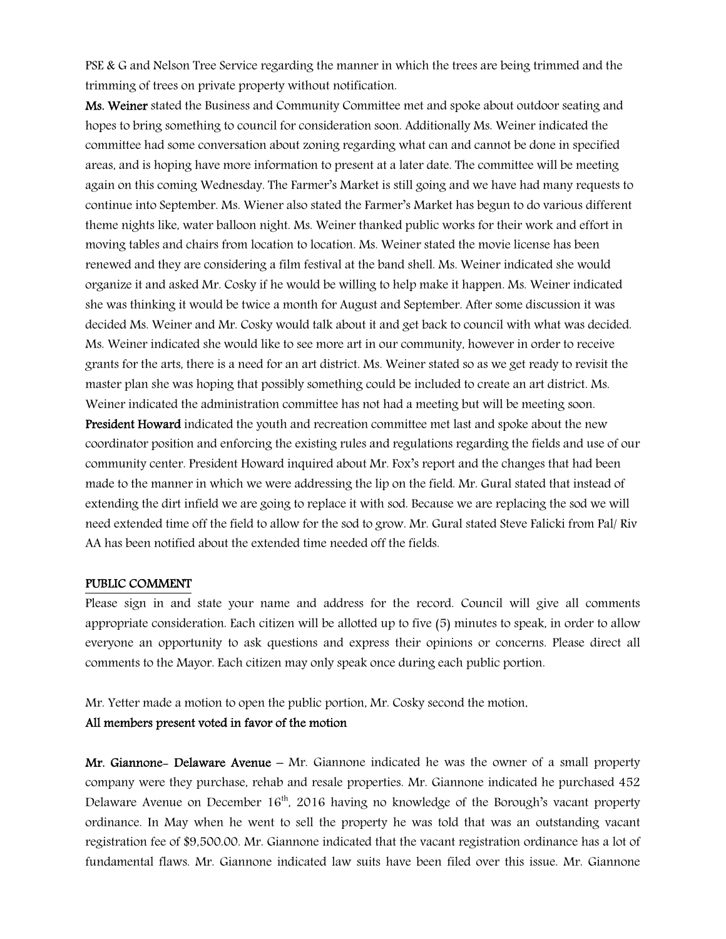PSE & G and Nelson Tree Service regarding the manner in which the trees are being trimmed and the trimming of trees on private property without notification.

Ms. Weiner stated the Business and Community Committee met and spoke about outdoor seating and hopes to bring something to council for consideration soon. Additionally Ms. Weiner indicated the committee had some conversation about zoning regarding what can and cannot be done in specified areas, and is hoping have more information to present at a later date. The committee will be meeting again on this coming Wednesday. The Farmer's Market is still going and we have had many requests to continue into September. Ms. Wiener also stated the Farmer's Market has begun to do various different theme nights like, water balloon night. Ms. Weiner thanked public works for their work and effort in moving tables and chairs from location to location. Ms. Weiner stated the movie license has been renewed and they are considering a film festival at the band shell. Ms. Weiner indicated she would organize it and asked Mr. Cosky if he would be willing to help make it happen. Ms. Weiner indicated she was thinking it would be twice a month for August and September. After some discussion it was decided Ms. Weiner and Mr. Cosky would talk about it and get back to council with what was decided. Ms. Weiner indicated she would like to see more art in our community, however in order to receive grants for the arts, there is a need for an art district. Ms. Weiner stated so as we get ready to revisit the master plan she was hoping that possibly something could be included to create an art district. Ms. Weiner indicated the administration committee has not had a meeting but will be meeting soon.

President Howard indicated the youth and recreation committee met last and spoke about the new coordinator position and enforcing the existing rules and regulations regarding the fields and use of our community center. President Howard inquired about Mr. Fox's report and the changes that had been made to the manner in which we were addressing the lip on the field. Mr. Gural stated that instead of extending the dirt infield we are going to replace it with sod. Because we are replacing the sod we will need extended time off the field to allow for the sod to grow. Mr. Gural stated Steve Falicki from Pal/ Riv AA has been notified about the extended time needed off the fields.

#### PUBLIC COMMENT

Please sign in and state your name and address for the record. Council will give all comments appropriate consideration. Each citizen will be allotted up to five (5) minutes to speak, in order to allow everyone an opportunity to ask questions and express their opinions or concerns. Please direct all comments to the Mayor. Each citizen may only speak once during each public portion.

Mr. Yetter made a motion to open the public portion, Mr. Cosky second the motion.

#### All members present voted in favor of the motion

Mr. Giannone- Delaware Avenue – Mr. Giannone indicated he was the owner of a small property company were they purchase, rehab and resale properties. Mr. Giannone indicated he purchased 452 Delaware Avenue on December 16<sup>th</sup>, 2016 having no knowledge of the Borough's vacant property ordinance. In May when he went to sell the property he was told that was an outstanding vacant registration fee of \$9,500.00. Mr. Giannone indicated that the vacant registration ordinance has a lot of fundamental flaws. Mr. Giannone indicated law suits have been filed over this issue. Mr. Giannone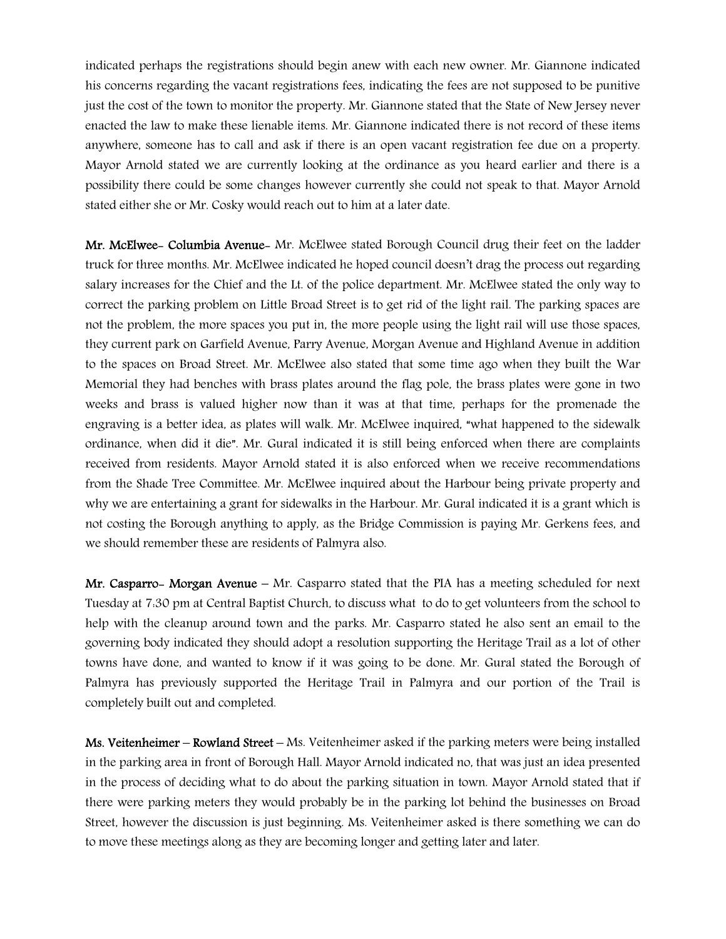indicated perhaps the registrations should begin anew with each new owner. Mr. Giannone indicated his concerns regarding the vacant registrations fees, indicating the fees are not supposed to be punitive just the cost of the town to monitor the property. Mr. Giannone stated that the State of New Jersey never enacted the law to make these lienable items. Mr. Giannone indicated there is not record of these items anywhere, someone has to call and ask if there is an open vacant registration fee due on a property. Mayor Arnold stated we are currently looking at the ordinance as you heard earlier and there is a possibility there could be some changes however currently she could not speak to that. Mayor Arnold stated either she or Mr. Cosky would reach out to him at a later date.

Mr. McElwee- Columbia Avenue- Mr. McElwee stated Borough Council drug their feet on the ladder truck for three months. Mr. McElwee indicated he hoped council doesn't drag the process out regarding salary increases for the Chief and the Lt. of the police department. Mr. McElwee stated the only way to correct the parking problem on Little Broad Street is to get rid of the light rail. The parking spaces are not the problem, the more spaces you put in, the more people using the light rail will use those spaces, they current park on Garfield Avenue, Parry Avenue, Morgan Avenue and Highland Avenue in addition to the spaces on Broad Street. Mr. McElwee also stated that some time ago when they built the War Memorial they had benches with brass plates around the flag pole, the brass plates were gone in two weeks and brass is valued higher now than it was at that time, perhaps for the promenade the engraving is a better idea, as plates will walk. Mr. McElwee inquired, "what happened to the sidewalk ordinance, when did it die". Mr. Gural indicated it is still being enforced when there are complaints received from residents. Mayor Arnold stated it is also enforced when we receive recommendations from the Shade Tree Committee. Mr. McElwee inquired about the Harbour being private property and why we are entertaining a grant for sidewalks in the Harbour. Mr. Gural indicated it is a grant which is not costing the Borough anything to apply, as the Bridge Commission is paying Mr. Gerkens fees, and we should remember these are residents of Palmyra also.

Mr. Casparro- Morgan Avenue – Mr. Casparro stated that the PIA has a meeting scheduled for next Tuesday at 7:30 pm at Central Baptist Church, to discuss what to do to get volunteers from the school to help with the cleanup around town and the parks. Mr. Casparro stated he also sent an email to the governing body indicated they should adopt a resolution supporting the Heritage Trail as a lot of other towns have done, and wanted to know if it was going to be done. Mr. Gural stated the Borough of Palmyra has previously supported the Heritage Trail in Palmyra and our portion of the Trail is completely built out and completed.

Ms. Veitenheimer – Rowland Street – Ms. Veitenheimer asked if the parking meters were being installed in the parking area in front of Borough Hall. Mayor Arnold indicated no, that was just an idea presented in the process of deciding what to do about the parking situation in town. Mayor Arnold stated that if there were parking meters they would probably be in the parking lot behind the businesses on Broad Street, however the discussion is just beginning. Ms. Veitenheimer asked is there something we can do to move these meetings along as they are becoming longer and getting later and later.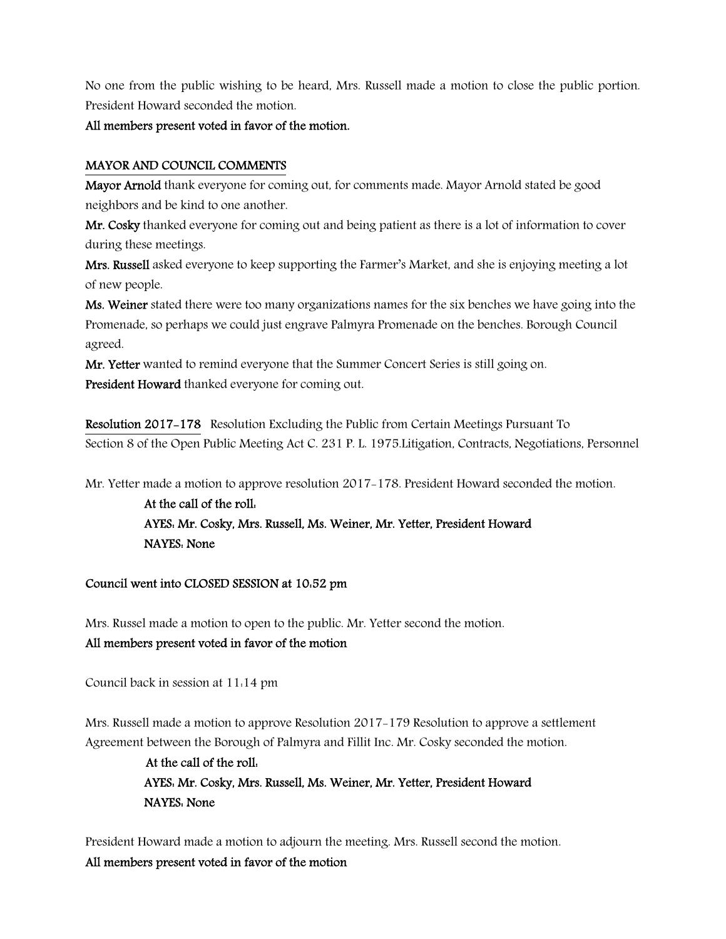No one from the public wishing to be heard, Mrs. Russell made a motion to close the public portion. President Howard seconded the motion.

#### All members present voted in favor of the motion.

#### MAYOR AND COUNCIL COMMENTS

Mayor Arnold thank everyone for coming out, for comments made. Mayor Arnold stated be good neighbors and be kind to one another.

Mr. Cosky thanked everyone for coming out and being patient as there is a lot of information to cover during these meetings.

Mrs. Russell asked everyone to keep supporting the Farmer's Market, and she is enjoying meeting a lot of new people.

Ms. Weiner stated there were too many organizations names for the six benches we have going into the Promenade, so perhaps we could just engrave Palmyra Promenade on the benches. Borough Council agreed.

Mr. Yetter wanted to remind everyone that the Summer Concert Series is still going on. President Howard thanked everyone for coming out.

Resolution 2017-178 Resolution Excluding the Public from Certain Meetings Pursuant To Section 8 of the Open Public Meeting Act C. 231 P. L. 1975.Litigation, Contracts, Negotiations, Personnel

Mr. Yetter made a motion to approve resolution 2017-178. President Howard seconded the motion.

At the call of the roll: AYES: Mr. Cosky, Mrs. Russell, Ms. Weiner, Mr. Yetter, President Howard NAYES: None

#### Council went into CLOSED SESSION at 10:52 pm

Mrs. Russel made a motion to open to the public. Mr. Yetter second the motion. All members present voted in favor of the motion

Council back in session at 11:14 pm

Mrs. Russell made a motion to approve Resolution 2017-179 Resolution to approve a settlement Agreement between the Borough of Palmyra and Fillit Inc. Mr. Cosky seconded the motion.

> At the call of the roll: AYES: Mr. Cosky, Mrs. Russell, Ms. Weiner, Mr. Yetter, President Howard NAYES: None

President Howard made a motion to adjourn the meeting. Mrs. Russell second the motion. All members present voted in favor of the motion